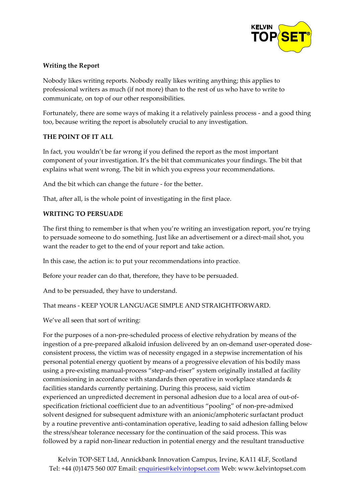

# **Writing the Report**

Nobody likes writing reports. Nobody really likes writing anything; this applies to professional writers as much (if not more) than to the rest of us who have to write to communicate, on top of our other responsibilities.

Fortunately, there are some ways of making it a relatively painless process - and a good thing too, because writing the report is absolutely crucial to any investigation.

## **THE POINT OF IT ALL**

In fact, you wouldn't be far wrong if you defined the report as the most important component of your investigation. It's the bit that communicates your findings. The bit that explains what went wrong. The bit in which you express your recommendations.

And the bit which can change the future - for the better.

That, after all, is the whole point of investigating in the first place.

### **WRITING TO PERSUADE**

The first thing to remember is that when you're writing an investigation report, you're trying to persuade someone to do something. Just like an advertisement or a direct-mail shot, you want the reader to get to the end of your report and take action.

In this case, the action is: to put your recommendations into practice.

Before your reader can do that, therefore, they have to be persuaded.

And to be persuaded, they have to understand.

That means - KEEP YOUR LANGUAGE SIMPLE AND STRAIGHTFORWARD.

We've all seen that sort of writing:

For the purposes of a non-pre-scheduled process of elective rehydration by means of the ingestion of a pre-prepared alkaloid infusion delivered by an on-demand user-operated doseconsistent process, the victim was of necessity engaged in a stepwise incrementation of his personal potential energy quotient by means of a progressive elevation of his bodily mass using a pre-existing manual-process "step-and-riser" system originally installed at facility commissioning in accordance with standards then operative in workplace standards & facilities standards currently pertaining. During this process, said victim experienced an unpredicted decrement in personal adhesion due to a local area of out-ofspecification frictional coefficient due to an adventitious "pooling" of non-pre-admixed solvent designed for subsequent admixture with an anionic/amphoteric surfactant product by a routine preventive anti-contamination operative, leading to said adhesion falling below the stress/shear tolerance necessary for the continuation of the said process. This was followed by a rapid non-linear reduction in potential energy and the resultant transductive

Kelvin TOP-SET Ltd, Annickbank Innovation Campus, Irvine, KA11 4LF, Scotland Tel: +44 (0)1475 560 007 Email: enquiries@kelvintopset.com Web: www.kelvintopset.com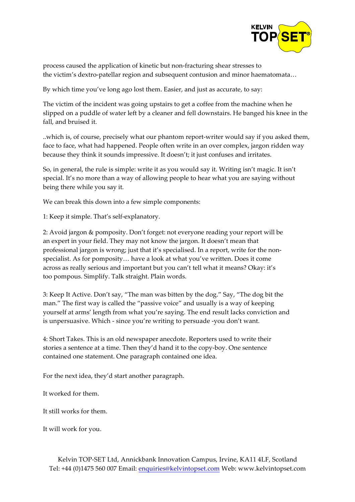

process caused the application of kinetic but non-fracturing shear stresses to the victim's dextro-patellar region and subsequent contusion and minor haematomata…

By which time you've long ago lost them. Easier, and just as accurate, to say:

The victim of the incident was going upstairs to get a coffee from the machine when he slipped on a puddle of water left by a cleaner and fell downstairs. He banged his knee in the fall, and bruised it.

..which is, of course, precisely what our phantom report-writer would say if you asked them, face to face, what had happened. People often write in an over complex, jargon ridden way because they think it sounds impressive. It doesn't; it just confuses and irritates.

So, in general, the rule is simple: write it as you would say it. Writing isn't magic. It isn't special. It's no more than a way of allowing people to hear what you are saying without being there while you say it.

We can break this down into a few simple components:

1: Keep it simple. That's self-explanatory.

2: Avoid jargon & pomposity. Don't forget: not everyone reading your report will be an expert in your field. They may not know the jargon. It doesn't mean that professional jargon is wrong; just that it's specialised. In a report, write for the nonspecialist. As for pomposity… have a look at what you've written. Does it come across as really serious and important but you can't tell what it means? Okay: it's too pompous. Simplify. Talk straight. Plain words.

3: Keep It Active. Don't say, "The man was bitten by the dog." Say, "The dog bit the man." The first way is called the "passive voice" and usually is a way of keeping yourself at arms' length from what you're saying. The end result lacks conviction and is unpersuasive. Which - since you're writing to persuade -you don't want.

4: Short Takes. This is an old newspaper anecdote. Reporters used to write their stories a sentence at a time. Then they'd hand it to the copy-boy. One sentence contained one statement. One paragraph contained one idea.

For the next idea, they'd start another paragraph.

It worked for them.

It still works for them.

It will work for you.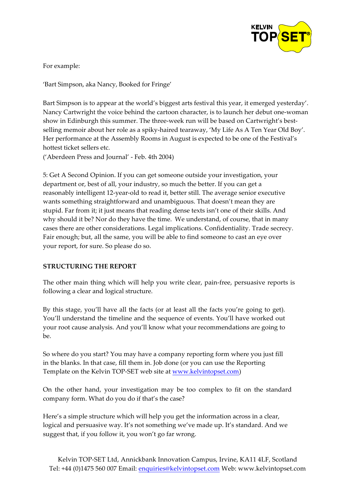

For example:

'Bart Simpson, aka Nancy, Booked for Fringe'

Bart Simpson is to appear at the world's biggest arts festival this year, it emerged yesterday'. Nancy Cartwright the voice behind the cartoon character, is to launch her debut one-woman show in Edinburgh this summer. The three-week run will be based on Cartwright's bestselling memoir about her role as a spiky-haired tearaway, 'My Life As A Ten Year Old Boy'. Her performance at the Assembly Rooms in August is expected to be one of the Festival's hottest ticket sellers etc.

('Aberdeen Press and Journal' - Feb. 4th 2004)

5: Get A Second Opinion. If you can get someone outside your investigation, your department or, best of all, your industry, so much the better. If you can get a reasonably intelligent 12-year-old to read it, better still. The average senior executive wants something straightforward and unambiguous. That doesn't mean they are stupid. Far from it; it just means that reading dense texts isn't one of their skills. And why should it be? Nor do they have the time. We understand, of course, that in many cases there are other considerations. Legal implications. Confidentiality. Trade secrecy. Fair enough; but, all the same, you will be able to find someone to cast an eye over your report, for sure. So please do so.

### **STRUCTURING THE REPORT**

The other main thing which will help you write clear, pain-free, persuasive reports is following a clear and logical structure.

By this stage, you'll have all the facts (or at least all the facts you're going to get). You'll understand the timeline and the sequence of events. You'll have worked out your root cause analysis. And you'll know what your recommendations are going to be.

So where do you start? You may have a company reporting form where you just fill in the blanks. In that case, fill them in. Job done (or you can use the Reporting Template on the Kelvin TOP-SET web site at www.kelvintopset.com)

On the other hand, your investigation may be too complex to fit on the standard company form. What do you do if that's the case?

Here's a simple structure which will help you get the information across in a clear, logical and persuasive way. It's not something we've made up. It's standard. And we suggest that, if you follow it, you won't go far wrong.

Kelvin TOP-SET Ltd, Annickbank Innovation Campus, Irvine, KA11 4LF, Scotland Tel: +44 (0)1475 560 007 Email: enquiries@kelvintopset.com Web: www.kelvintopset.com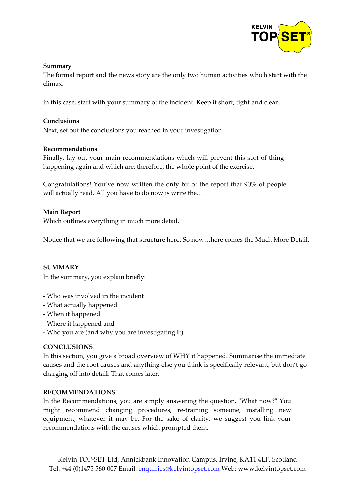

#### **Summary**

The formal report and the news story are the only two human activities which start with the climax.

In this case, start with your summary of the incident. Keep it short, tight and clear.

### **Conclusions**

Next, set out the conclusions you reached in your investigation.

### **Recommendations**

Finally, lay out your main recommendations which will prevent this sort of thing happening again and which are, therefore, the whole point of the exercise.

Congratulations! You've now written the only bit of the report that 90% of people will actually read. All you have to do now is write the…

### **Main Report**

Which outlines everything in much more detail.

Notice that we are following that structure here. So now…here comes the Much More Detail.

### **SUMMARY**

In the summary, you explain briefly:

- Who was involved in the incident
- What actually happened
- When it happened
- Where it happened and
- Who you are (and why you are investigating it)

### **CONCLUSIONS**

In this section, you give a broad overview of WHY it happened. Summarise the immediate causes and the root causes and anything else you think is specifically relevant, but don't go charging off into detail. That comes later.

### **RECOMMENDATIONS**

In the Recommendations, you are simply answering the question, "What now?" You might recommend changing procedures, re-training someone, installing new equipment; whatever it may be. For the sake of clarity, we suggest you link your recommendations with the causes which prompted them.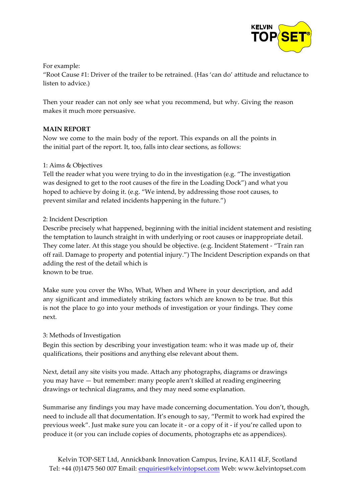

For example:

"Root Cause #1: Driver of the trailer to be retrained. (Has 'can do' attitude and reluctance to listen to advice.)

Then your reader can not only see what you recommend, but why. Giving the reason makes it much more persuasive.

## **MAIN REPORT**

Now we come to the main body of the report. This expands on all the points in the initial part of the report. It, too, falls into clear sections, as follows:

## 1: Aims & Objectives

Tell the reader what you were trying to do in the investigation (e.g. "The investigation was designed to get to the root causes of the fire in the Loading Dock") and what you hoped to achieve by doing it. (e.g. "We intend, by addressing those root causes, to prevent similar and related incidents happening in the future.")

## 2: Incident Description

Describe precisely what happened, beginning with the initial incident statement and resisting the temptation to launch straight in with underlying or root causes or inappropriate detail. They come later. At this stage you should be objective. (e.g. Incident Statement - "Train ran off rail. Damage to property and potential injury.") The Incident Description expands on that adding the rest of the detail which is known to be true.

Make sure you cover the Who, What, When and Where in your description, and add any significant and immediately striking factors which are known to be true. But this is not the place to go into your methods of investigation or your findings. They come next.

### 3: Methods of Investigation

Begin this section by describing your investigation team: who it was made up of, their qualifications, their positions and anything else relevant about them.

Next, detail any site visits you made. Attach any photographs, diagrams or drawings you may have — but remember: many people aren't skilled at reading engineering drawings or technical diagrams, and they may need some explanation.

Summarise any findings you may have made concerning documentation. You don't, though, need to include all that documentation. It's enough to say, "Permit to work had expired the previous week". Just make sure you can locate it - or a copy of it - if you're called upon to produce it (or you can include copies of documents, photographs etc as appendices).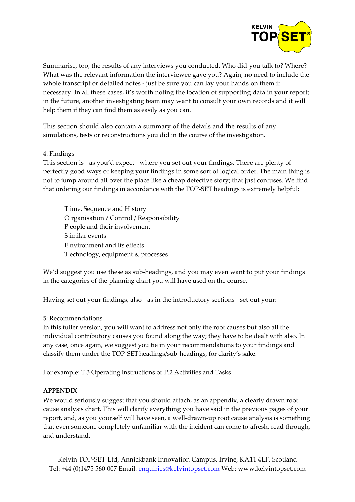

Summarise, too, the results of any interviews you conducted. Who did you talk to? Where? What was the relevant information the interviewee gave you? Again, no need to include the whole transcript or detailed notes - just be sure you can lay your hands on them if necessary. In all these cases, it's worth noting the location of supporting data in your report; in the future, another investigating team may want to consult your own records and it will help them if they can find them as easily as you can.

This section should also contain a summary of the details and the results of any simulations, tests or reconstructions you did in the course of the investigation.

### 4: Findings

This section is - as you'd expect - where you set out your findings. There are plenty of perfectly good ways of keeping your findings in some sort of logical order. The main thing is not to jump around all over the place like a cheap detective story; that just confuses. We find that ordering our findings in accordance with the TOP-SET headings is extremely helpful:

T ime, Sequence and History O rganisation / Control / Responsibility P eople and their involvement S imilar events E nvironment and its effects T echnology, equipment & processes

We'd suggest you use these as sub-headings, and you may even want to put your findings in the categories of the planning chart you will have used on the course.

Having set out your findings, also - as in the introductory sections - set out your:

### 5: Recommendations

In this fuller version, you will want to address not only the root causes but also all the individual contributory causes you found along the way; they have to be dealt with also. In any case, once again, we suggest you tie in your recommendations to your findings and classify them under the TOP-SETheadings/sub-headings, for clarity's sake.

For example: T.3 Operating instructions or P.2 Activities and Tasks

### **APPENDIX**

We would seriously suggest that you should attach, as an appendix, a clearly drawn root cause analysis chart. This will clarify everything you have said in the previous pages of your report, and, as you yourself will have seen, a well-drawn-up root cause analysis is something that even someone completely unfamiliar with the incident can come to afresh, read through, and understand.

Kelvin TOP-SET Ltd, Annickbank Innovation Campus, Irvine, KA11 4LF, Scotland Tel: +44 (0)1475 560 007 Email: enquiries@kelvintopset.com Web: www.kelvintopset.com